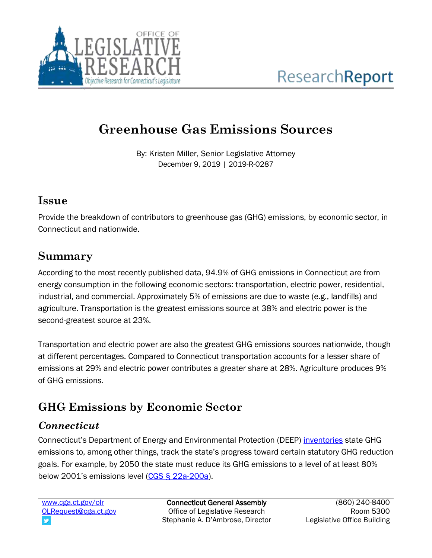

# **Greenhouse Gas Emissions Sources**

By: Kristen Miller, Senior Legislative Attorney December 9, 2019 | 2019-R-0287

### **Issue**

Provide the breakdown of contributors to greenhouse gas (GHG) emissions, by economic sector, in Connecticut and nationwide.

## **Summary**

According to the most recently published data, 94.9% of GHG emissions in Connecticut are from energy consumption in the following economic sectors: transportation, electric power, residential, industrial, and commercial. Approximately 5% of emissions are due to waste (e.g., landfills) and agriculture. Transportation is the greatest emissions source at 38% and electric power is the second-greatest source at 23%.

Transportation and electric power are also the greatest GHG emissions sources nationwide, though at different percentages. Compared to Connecticut transportation accounts for a lesser share of emissions at 29% and electric power contributes a greater share at 28%. Agriculture produces 9% of GHG emissions.

## **GHG Emissions by Economic Sector**

## *Connecticut*

Connecticut's Department of Energy and Environmental Protection (DEEP) [inventories](https://www.ct.gov/deep/cwp/view.asp?a=4423&Q=568752&deepNav_GID=2121) state GHG emissions to, among other things, track the state's progress toward certain statutory GHG reduction goals. For example, by 2050 the state must reduce its GHG emissions to a level of at least 80% below 2001's emissions level [\(CGS § 22a-200a\)](https://www.cga.ct.gov/current/pub/chap_446c.htm#sec_22a-200a).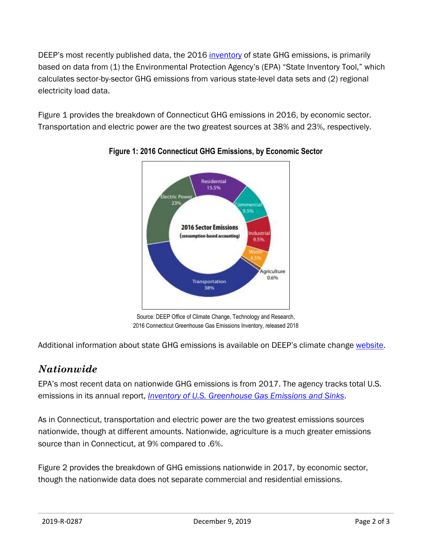DEEP's most recently published data, the 2016 [inventory](https://www.ct.gov/deep/lib/deep/climatechange/publications/ct_2016_ghg_inventory.pdf) of state GHG emissions, is primarily based on data from (1) the Environmental Protection Agency's (EPA) "State Inventory Tool," which calculates sector-by-sector GHG emissions from various state-level data sets and (2) regional electricity load data.

Figure 1 provides the breakdown of Connecticut GHG emissions in 2016, by economic sector. Transportation and electric power are the two greatest sources at 38% and 23%, respectively.



#### **Figure 1: 2016 Connecticut GHG Emissions, by Economic Sector**

Source: DEEP Office of Climate Change, Technology and Research, 2016 Connecticut Greenhouse Gas Emissions Inventory, released 2018

Additional information about state GHG emissions is available on DEEP's climate change [website.](https://www.ct.gov/deep/cwp/view.asp?a=4423&q=521742&deepNav_GID=2121)

## *Nationwide*

EPA's most recent data on nationwide GHG emissions is from 2017. The agency tracks total U.S. emissions in its annual report, *[Inventory of U.S. Greenhouse Gas Emissions and Sinks](https://www.epa.gov/ghgemissions/inventory-us-greenhouse-gas-emissions-and-sinks)*.

As in Connecticut, transportation and electric power are the two greatest emissions sources nationwide, though at different amounts. Nationwide, agriculture is a much greater emissions source than in Connecticut, at 9% compared to .6%.

Figure 2 provides the breakdown of GHG emissions nationwide in 2017, by economic sector, though the nationwide data does not separate commercial and residential emissions.